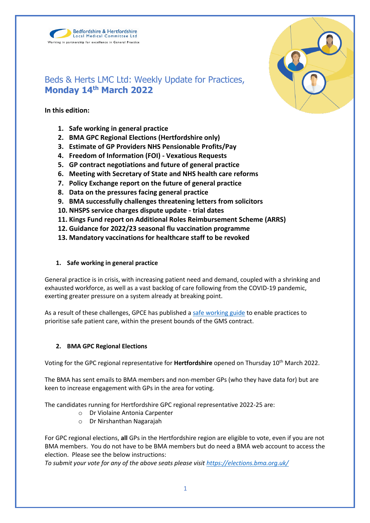



# Beds & Herts LMC Ltd: Weekly Update for Practices, **Monday 14th March 2022**

**In this edition:**

- **1. Safe working in general practice**
- **2. BMA GPC Regional Elections (Hertfordshire only)**
- **3. Estimate of GP Providers NHS Pensionable Profits/Pay**
- **4. Freedom of Information (FOI) - Vexatious Requests**
- **5. GP contract negotiations and future of general practice**
- **6. Meeting with Secretary of State and NHS health care reforms**
- **7. Policy Exchange report on the future of general practice**
- **8. Data on the pressures facing general practice**
- **9. BMA successfully challenges threatening letters from solicitors**
- **10. NHSPS service charges dispute update - trial dates**
- **11. Kings Fund report on Additional Roles Reimbursement Scheme (ARRS)**
- **12. Guidance for 2022/23 seasonal flu vaccination programme**
- **13. Mandatory vaccinations for healthcare staff to be revoked**

# **1. Safe working in general practice**

General practice is in crisis, with increasing patient need and demand, coupled with a shrinking and exhausted workforce, as well as a vast backlog of care following from the COVID-19 pandemic, exerting greater pressure on a system already at breaking point.

As a result of these challenges, GPCE has published a [safe working guide](https://www.bma.org.uk/advice-and-support/gp-practices/managing-workload/safe-working-in-general-practice) to enable practices to prioritise safe patient care, within the present bounds of the GMS contract.

# **2. BMA GPC Regional Elections**

Voting for the GPC regional representative for **Hertfordshire** opened on Thursday 10th March 2022.

The BMA has sent emails to BMA members and non-member GPs (who they have data for) but are keen to increase engagement with GPs in the area for voting.

The candidates running for Hertfordshire GPC regional representative 2022-25 are:

- o Dr Violaine Antonia Carpenter
- o Dr Nirshanthan Nagarajah

For GPC regional elections, **all** GPs in the Hertfordshire region are eligible to vote, even if you are not BMA members. You do not have to be BMA members but do need a BMA web account to access the election. Please see the below instructions:

*To submit your vote for any of the above seats please visit<https://elections.bma.org.uk/>*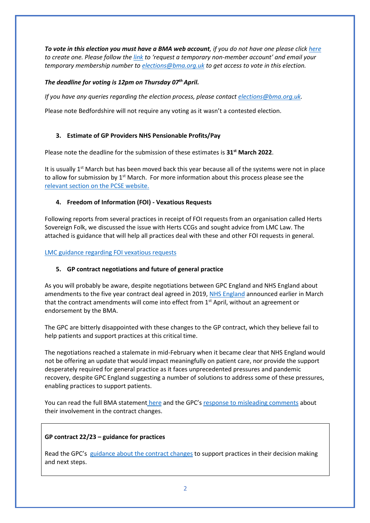*To vote in this election you must have a BMA web account, if you do not have one please click [here](https://www.bma.org.uk/what-we-do/committees/committee-information/committee-elections) to create one. Please follow th[e link](https://join.bma.org.uk/limitedaccessregistration/limitedaccess) to 'request a temporary non-member account' and email your temporary membership number t[o elections@bma.org.uk](mailto:elections@bma.org.uk) to get access to vote in this election.* 

# *The deadline for voting is 12pm on Thursday 07 thApril.*

*If you have any queries regarding the election process, please contact [elections@bma.org.uk.](mailto:elections@bma.org.uk)*

Please note Bedfordshire will not require any voting as it wasn't a contested election.

# **3. Estimate of GP Providers NHS Pensionable Profits/Pay**

Please note the deadline for the submission of these estimates is **31st March 2022**.

It is usually  $1<sup>st</sup>$  March but has been moved back this year because all of the systems were not in place to allow for submission by  $1<sup>st</sup>$  March. For more information about this process please see the [relevant section on the PCSE website.](https://pcse.england.nhs.uk/help/gp-pensions/estimate-of-gp-and-non-gp-providers-nhs-pensionable-profitspay/) 

# **4. Freedom of Information (FOI) - Vexatious Requests**

Following reports from several practices in receipt of FOI requests from an organisation called Herts Sovereign Folk, we discussed the issue with Herts CCGs and sought advice from LMC Law. The attached is guidance that will help all practices deal with these and other FOI requests in general.

# [LMC guidance regarding FOI vexatious requests](https://www.bedshertslmcs.org.uk/wp-content/uploads/2022/03/FOI-vexatious-claims-final-10.3.22.pdf)

# **5. GP contract negotiations and future of general practice**

As you will probably be aware, despite negotiations between GPC England and NHS England about amendments to the five year contract deal agreed in 2019, [NHS England](https://www.england.nhs.uk/publication/letter-general-practice-contract-arrangements-in-2022-23/) announced earlier in March that the contract amendments will come into effect from 1<sup>st</sup> April, without an agreement or endorsement by the BMA.

The GPC are bitterly disappointed with these changes to the GP contract, which they believe fail to help patients and support practices at this critical time.

The negotiations reached a stalemate in mid-February when it became clear that NHS England would not be offering an update that would impact meaningfully on patient care, nor provide the support desperately required for general practice as it faces unprecedented pressures and pandemic recovery, despite GPC England suggesting a number of solutions to address some of these pressures, enabling practices to support patients.

You can read the full BMA statement [here](https://www.bma.org.uk/bma-media-centre/bma-bitterly-disappointed-at-gp-contract-changes-for-england-announced-with-no-agreement) and the GPC's [response to misleading comments](https://www.bma.org.uk/bma-media-centre/bma-gpc-responds-to-misleading-comments-about-its-involvement-in-the-22-23-gp-contract) about their involvement in the contract changes.

# **GP contract 22/23 – guidance for practices**

Read the GPC's [guidance about the contract changes](https://www.bma.org.uk/pay-and-contracts/contracts/gp-contract/gp-contract-changes-england-202223) to support practices in their decision making and next steps.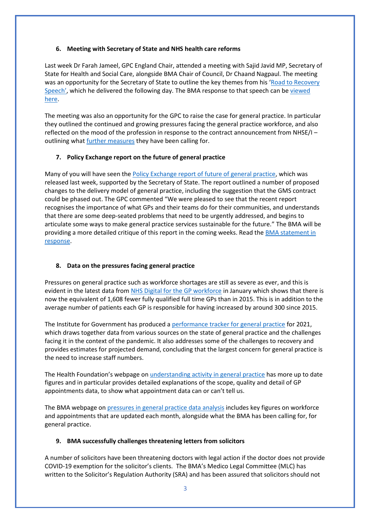#### **6. Meeting with Secretary of State and NHS health care reforms**

Last week Dr Farah Jameel, GPC England Chair, attended a meeting with Sajid Javid MP, Secretary of State for Health and Social Care, alongside BMA Chair of Council, Dr Chaand Nagpaul. The meeting was an opportunity for the Secretary of State to outline the key themes from his 'Road to Recovery [Speech'](https://www.gov.uk/government/speeches/health-and-social-care-secretary-speech-on-health-reform), which he delivered the following day. The BMA response to that speech can be viewed [here.](https://www.bma.org.uk/bma-media-centre/nhs-recovery-plan-will-prove-impossible-if-chronic-workforce-crisis-isn-t-addressed-says-bma)

The meeting was also an opportunity for the GPC to raise the case for general practice. In particular they outlined the continued and growing pressures facing the general practice workforce, and also reflected on the mood of the profession in response to the contract announcement from NHSE/I – outlining what [further measures](https://www.bma.org.uk/bma-media-centre/bma-bitterly-disappointed-at-gp-contract-changes-for-england-announced-with-no-agreement) they have been calling for.

#### **7. Policy Exchange report on the future of general practice**

Many of you will have seen th[e Policy Exchange report of future of general practice,](https://policyexchange.org.uk/publication/at-your-service/) which was released last week, supported by the Secretary of State. The report outlined a number of proposed changes to the delivery model of general practice, including the suggestion that the GMS contract could be phased out. The GPC commented "We were pleased to see that the recent report recognises the importance of what GPs and their teams do for their communities, and understands that there are some deep-seated problems that need to be urgently addressed, and begins to articulate some ways to make general practice services sustainable for the future." The BMA will be providing a more detailed critique of this report in the coming weeks. Read the [BMA statement in](https://www.bma.org.uk/bma-media-centre/we-can-t-begin-to-build-a-better-general-practice-if-we-don-t-learn-from-what-s-come-before-says-bma)  [response.](https://www.bma.org.uk/bma-media-centre/we-can-t-begin-to-build-a-better-general-practice-if-we-don-t-learn-from-what-s-come-before-says-bma)

# **8. Data on the pressures facing general practice**

Pressures on general practice such as workforce shortages are still as severe as ever, and this is evident in the latest data fro[m NHS Digital for the GP workforce](https://digital.nhs.uk/data-and-information/publications/statistical/general-and-personal-medical-services/31-january-2022) in January which shows that there is now the equivalent of 1,608 fewer fully qualified full time GPs than in 2015. This is in addition to the average number of patients each GP is responsible for having increased by around 300 since 2015.

The Institute for Government has produced [a performance tracker for general practice](https://www.instituteforgovernment.org.uk/publication/performance-tracker-2021/general-practice) for 2021, which draws together data from various sources on the state of general practice and the challenges facing it in the context of the pandemic. It also addresses some of the challenges to recovery and provides estimates for projected demand, concluding that the largest concern for general practice is the need to increase staff numbers.

The Health Foundation's webpage on [understanding activity in general practice](https://www.health.org.uk/news-and-comment/charts-and-infographics/understanding-activity-in-general-practice-what-can-the-data-tell-us) has more up to date figures and in particular provides detailed explanations of the scope, quality and detail of GP appointments data, to show what appointment data can or can't tell us.

The BMA webpage o[n pressures in general practice data analysis](https://www.bma.org.uk/advice-and-support/nhs-delivery-and-workforce/pressures/pressures-in-general-practice-data-analysis) includes key figures on workforce and appointments that are updated each month, alongside what the BMA has been calling for, for general practice.

# **9. BMA successfully challenges threatening letters from solicitors**

A number of solicitors have been threatening doctors with legal action if the doctor does not provide COVID-19 exemption for the solicitor's clients. The BMA's Medico Legal Committee (MLC) has written to the Solicitor's Regulation Authority (SRA) and has been assured that solicitors should not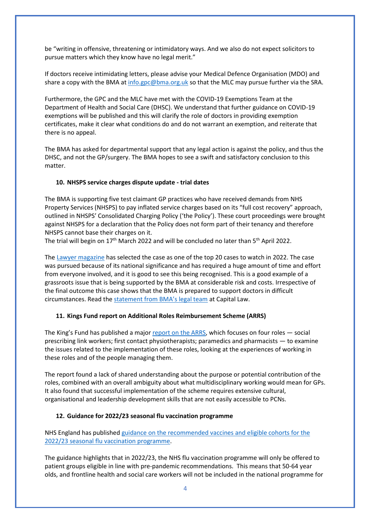be "writing in offensive, threatening or intimidatory ways. And we also do not expect solicitors to pursue matters which they know have no legal merit."

If doctors receive intimidating letters, please advise your Medical Defence Organisation (MDO) and share a copy with the BMA at [info.gpc@bma.org.uk](mailto:info.gpc@bma.org.uk) so that the MLC may pursue further via the SRA.

Furthermore, the GPC and the MLC have met with the COVID-19 Exemptions Team at the Department of Health and Social Care (DHSC). We understand that further guidance on COVID-19 exemptions will be published and this will clarify the role of doctors in providing exemption certificates, make it clear what conditions do and do not warrant an exemption, and reiterate that there is no appeal.

The BMA has asked for departmental support that any legal action is against the policy, and thus the DHSC, and not the GP/surgery. The BMA hopes to see a swift and satisfactory conclusion to this matter.

#### **10. NHSPS service charges dispute update - trial dates**

The BMA is supporting five test claimant GP practices who have received demands from NHS Property Services (NHSPS) to pay inflated service charges based on its "full cost recovery" approach, outlined in NHSPS' Consolidated Charging Policy ('the Policy'). These court proceedings were brought against NHSPS for a declaration that the Policy does not form part of their tenancy and therefore NHSPS cannot base their charges on it.

The trial will begin on 17<sup>th</sup> March 2022 and will be concluded no later than 5<sup>th</sup> April 2022.

The [Lawyer magazine](https://www.thelawyer.com/top-20-cases-2022/) has selected the case as one of the top 20 cases to watch in 2022. The case was pursued because of its national significance and has required a huge amount of time and effort from everyone involved, and it is good to see this being recognised. This is a good example of a grassroots issue that is being supported by the BMA at considerable risk and costs. Irrespective of the final outcome this case shows that the BMA is prepared to support doctors in difficult circumstances. Read the [statement from](https://protect-eu.mimecast.com/s/a8PLCmy55Fj4YOgTGbM1S?domain=capitallaw.co.uk/) BMA's legal team at Capital Law.

#### **11. Kings Fund report on Additional Roles Reimbursement Scheme (ARRS)**

The King's Fund has published a major [report on the ARRS,](https://protect-eu.mimecast.com/s/4cOUC0LKKHGPqEYhweEXG?domain=kingsfund.org.uk) which focuses on four roles - social prescribing link workers; first contact physiotherapists; paramedics and pharmacists — to examine the issues related to the implementation of these roles, looking at the experiences of working in these roles and of the people managing them.

The report found a lack of shared understanding about the purpose or potential contribution of the roles, combined with an overall ambiguity about what multidisciplinary working would mean for GPs. It also found that successful implementation of the scheme requires extensive cultural, organisational and leadership development skills that are not easily accessible to PCNs.

#### **12. Guidance for 2022/23 seasonal flu vaccination programme**

NHS England has publishe[d guidance on the recommended vaccines and eligible cohorts for the](https://www.england.nhs.uk/wp-content/uploads/2019/12/B1395-reimbursable-vaccines-and-eligible-cohorts-22-23-flu-vaccination-programme-guidance-march-2022.pdf)  [2022/23 seasonal flu vaccination programme.](https://www.england.nhs.uk/wp-content/uploads/2019/12/B1395-reimbursable-vaccines-and-eligible-cohorts-22-23-flu-vaccination-programme-guidance-march-2022.pdf)

The guidance highlights that in 2022/23, the NHS flu vaccination programme will only be offered to patient groups eligible in line with pre-pandemic recommendations. This means that 50-64 year olds, and frontline health and social care workers will not be included in the national programme for